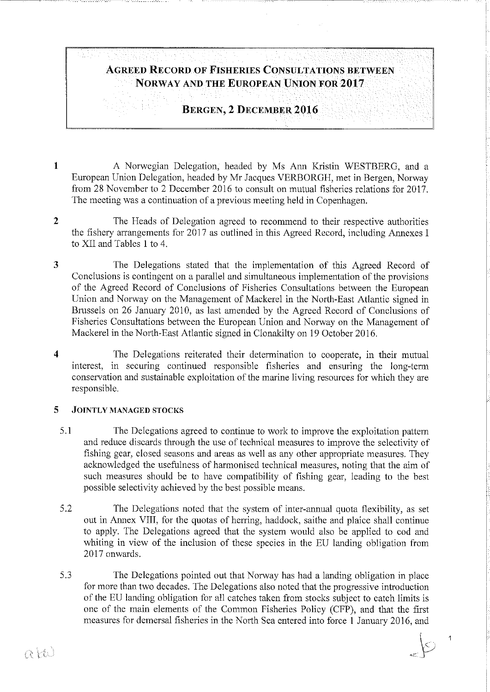# ÁGREED RECORD OF FISHERlES CONSULTATIONS BETWEEN NORWAY AND THE EUROPEAN UNION FOR 2017

# BERGEN, 2 DECEMBER 2016

- 1 A Norwegian Delegation, headed by Ms Ann Kristin WESTBERG, and a European Union Delcgation, headed by Mr Jacques VERBORGH, met in Bergen, Norway from 28 November to 2 December 2016 to consult on mutual fisheries relations for 2017. The meeting was a continuation of a previous meeting held in Copenhagen.
- 2 The Heads of Delegation agreed to recommend to their respective authorities the fishery arrangements for 2017 as outlined in this Agreed Record, including Armexes I to XII and Tables 1 to 4.
- 3 The Delegations stated that the implementation of this Agreed Record of Conclusions is contingent on a parallel and simultaneous implementation of the provisions of the Agreed Record of Conclusions of Fisheries Consultations between the European Union and Norway on the Management of Mackerel in the North-East Atlantic signed in Brussels on 26 January 2010, as last amended by the Agreed Record of Conclusions of Fisheries Consultations between the European Union and Norway on the Management of Mackerel in the North-East Atlantic signed in Clonakilty on 19 October 2016.
- 4 The Delegations reiterated their determination to cooperate, in their mutual interest, in securing continued responsible fisheries and ensuring the long-term conservalion and sustainable exploitation of the marine living resources for which they are responsible.

#### 5 JOINTLY MANAGED STOCKS

- 5.1 The Delegations agreed to continue to work to improve the exploitation pattem and reduce discards through the use of technical measures to improve the selectivity of fishing gear, closed seasons and areas as well as any other appropriate measures. They acknowledged the usefulness of harmonised technica! measures, noting that the aim of such measures should be to have compatibility of fishing gear, leading to the best possible selectivity achieved by the best possible means.
- 5.2 The Delegations noted that the system of inter-armual quota flexibility, as set out in Annex VIII, for the quotas of herring, haddock, saithe and plaice shall continue to apply. The Delegations agreed that the system would also be applied to cod and whiting in view of the inclusion of these species in the EU landing obligation from 2017 onwards.
- 5.3 The Delegations pointed out that Norway has had a landing obligation in place for more than two decades. The Delegations also noted that the progressive introduetion of the EU landing obligation for all catches taken from stocks subject to catch limits is one of the main elements of the Common Fisheries Poliey (CFP), and that the first measures for demersal fisheries in the North Sea entered into force 1 January 2016, and

 $\overline{1}$ 

 $\supseteq$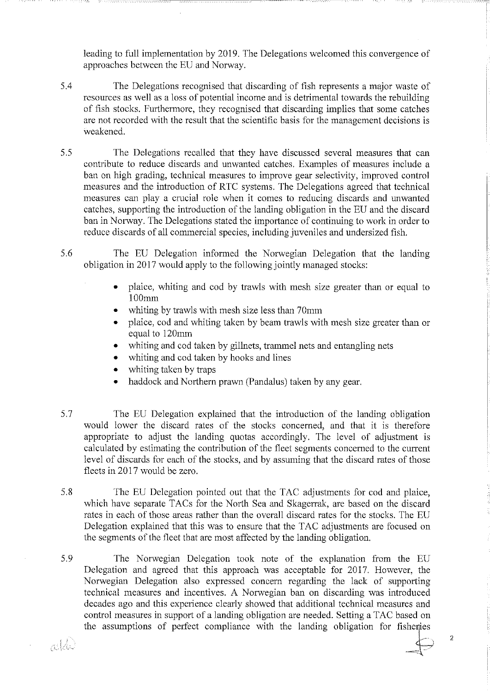leading to full implementation by 2019. The Delegations welcomed this convergence of approaches between the EU and Norway.

- 5.4 The Delegations recognised that discarding of fish represents a major waste of resources as well as a loss of potential income and is detrimental towards the rebuilding of fish stocks. Furthermore, they recognised that discarding implies that some catches are not recorded with the result that the scientific basis for the management decisions is weakened.
- 5.5 The Delegations recalled that they have discussed several measures that can contribute to reduce discards and unwanted catches. Examples of measures include a ban on high grading, technical measures to improve gear selectivity, improved control measures and the introduction of RTC systems. The Delegations agreed that technical measures can play a crucial role when it comes to reducing discards and unwanted catches, supporting the introduetion of the landing obligation in the EU and the discard ban in Norway. The Delegations stated the importance of continuing to work in order to reduce discards of all commercial species, including juveniles and undersized fish.
- 5.6 The EU Delegation informed the Norwegian Delegation that the landing obligation in 2017 would apply to the following jointly managed stocks:
	- plaice, whiting and cod by trawls with mesh size greater than or equal to lOOmm
	- whiting by trawls with mesh size less than 70mm
	- plaice, cod and whiting taken by beam trawls with mesh size greater than or equal to 120mm
	- whiting and cod taken by gillnets, trammel nets and entangling nets
	- whiting and cod taken by hooks and lines
	- whiting taken by traps

n: W

- haddoek and Northern prawn (Pandalus) taken by any gear.
- 5.7 The EU Delegation explained that the introduetion of the landing obligation would lower the discard rates of the stocks concerned, and that it is therefore appropriate to adjust the landing quotas accordingly. The level of adjustment is calculated by estimating the contribution of the fleet segments concerned to the current level of discards for each of the stocks, and by assuming that the discard rates of those fleets in 2017 would be zero.
- 5.8 The EU Delegation pointed out that the TAC adjustments for cod and plaice, which have separate TACs for the North Sea and Skagerrak, are based on the discard rates in each of those areas rather than the overall discard rates for the stocks. The EU Delegation explained that this was to ensure that the TAC adjustments are focused on the segments of the fleet that are most affected by the landing obligation.
- 5.9 The Norwegian Delegation took note of the explanation from the EU Delegation and agreed that this approach was acceptable for 2017. However, the Norwegian Delegation also expressed concern regarding the lack of supporting technical measures and incentives. A Norwegian ban on discarding was introduced decades ago and this experience clearly showed that additional technical measures and control measures in support of a landing obligation are needed. Setting a TAC basedon the assumptions of perfect compliance with the landing obligation for fisheries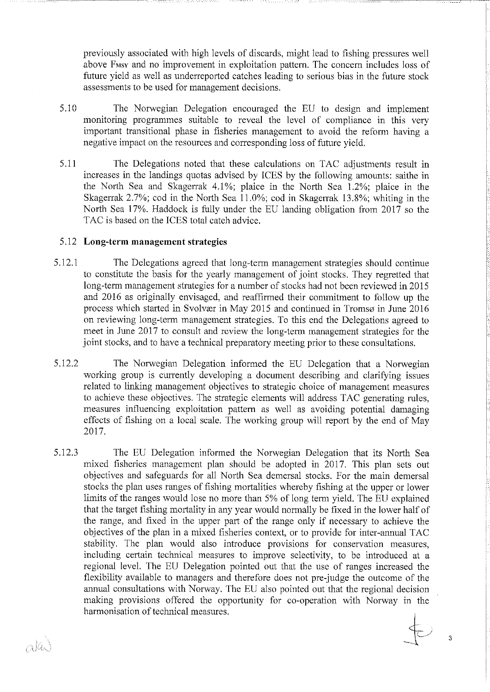previously associated with high levels of discards, might lead to fishing pressures well above F<sub>MSV</sub> and no improvement in exploitation pattern. The concern includes loss of future yield as well as underreported catches leading to serious bias in the future stock assessments to be used for management decisions.

- 5.10 The Norwegian Delegation encouraged the EU to design and implcment monitoring programmes suitable to reveal the level of compliance in this very important transitional phase in fisheries management to avoid the reform having a negative impact on the resources and corresponding loss of future yield.
- 5.11 The Delegations noted that these calculations on TAC adjustments result in increases in the landings quotas advised by ICES by the following amounts: saithe in the North Sea and Skagerrak 4.1%; plaice in the North Sea  $1.2\%$ ; plaice in the Skagerrak 2.7%; cod in the North Sea 11.0%; cod in Skagerrak 13.8%; whiting in the North Sea 17%. Haddock is fully under the EU landing obligation from 2017 so the TAC is based on the ICES total catch advice.

# 5.12 **Long-term management strategies**

---~~-~-----~~--~-~-- ------------------

- 5 .12.1 The Delegations agreed that long-term management strategies should continue to constitute the basis for the yearly management of joint stocks. They regretted that long-term management strategies for a number of stocks had not been reviewed in 2015 and 2016 as originally envisaged, and reaffirmed their commitment to follow up the process which started in Svolvær in May 2015 and continued in Tromsø in June 2016 on reviewing long-term management strategies. To this end the Delegations agreed to meet in June 2017 to consult and review the long-term management strategies for the joint stocks, and to have a technical preparatory meeting prior to these consultations.
- 5.12.2 The Norwegian Delegation informed the EU Delegation that a Norwegian working group is currently developing a document describing and clarifying issues related to linking management objectives to strategie choice of management measures to achievc these objectives. The strategie elements wil! address TAC generating rules, measures influencing exploitation pattern as well as avoiding potential damaging effects of fishing on a local scale. The working group will report by the end of May 2017.
- 5 .12.3 The EU Delegation informed the Norwegian Delegation that its North Sea mixed fisheries management plan should be adopted in 2017. This plan sets out objectives and safeguards for all North Sea demersal stocks. Por the main demersal stocks the plan uses ranges of fishing mortalities whereby fishing at the upper or lower limits of the ranges would lose no more than 5% of long term yield. The EU explained that the target fishing mortality in any year would normally be fixed in the lower half of the range, and fixed in the upper part of the range only if necessary to achieve the objectives of the plan in a mixed fisheries context, or to provide for inter-armual TAC stability. The plan would also introduce provisions for conservation measures, including certain technical measures to improve selectivity, to be introduced at a regional level. The EU Delegation pointed out that the use of ranges increased the flexibility available to managers and therefore does not pre-judge the outcome of the annual consultations with Norway. The EU also pointed out that the regional decision making provisions affered the opportunity for co-operation with Norway in the harmonisation of technical measures.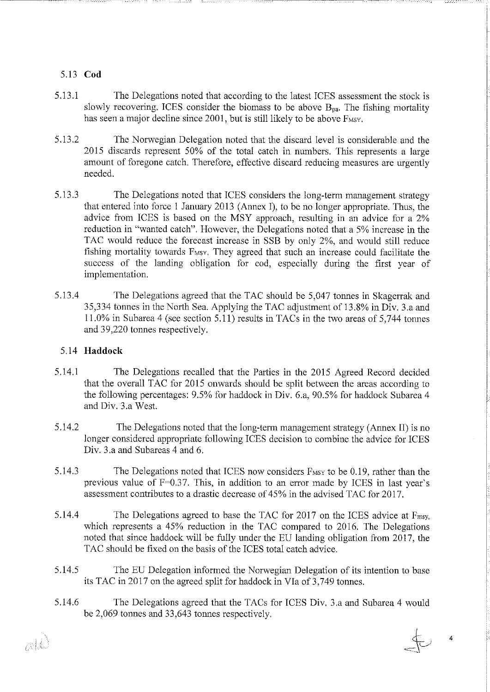#### 5.13 **Cod**

- 5.13.1 The Delegations noted that according to the latest ICES assessment the stock is slowly recovering. ICES consider the biomass to be above  $B_{pa}$ . The fishing mortality has seen a major decline since 2001, but is still likely to be above F<sub>MSY</sub>.
- 5.13.2 The Norwegian Delegation noted that the discard level is considerable and the 2015 discards represenl 50% of the total catch in numbers. This represents a large amount of foregone catch. Therefore, effective discard reducing measures are urgently needed.
- 5.13 .3 The De1egations noted that ICES considers the long-term management strategy that entered into force 1 January 2013 (Annex I), to be no Jonger appropriate. Thus, the advice from ICES is based on the MSY approach, resulting in an advice for a 2% reduction in "wanted catch". However, the Delegations noted that a 5% increase in the TAC would reduce the forceast increase in SSB by only 2%, and would still reduce fishing mortality towards F<sub>MSV</sub>. They agreed that such an increase could facilitate the success of the landing obligation for cod, especially during the first year of implementation.
- 5.13.4 The Delegations agreed that the TAC should be 5,047 tonnes in Skagerrak and 35,334 tonnes in the North Sea. Applying the TAC adjustment of 13.8% in Div. 3.a and 11.0% in Subarea 4 (see section 5.11) results in TACs in the two areas of 5,744 tonnes and 39,220 tonnes respectively.

#### 5.14 **Haddoek**

- 5.14.1 The Delegations recalled that the Parties in the 2015 Agreed Record decided that the overall TAC for 2015 onwards should be split between the areas according to the following percentages: 9.5% for haddoek in Div. 6.a, 90.5% for haddoek Subarea 4 and Div. 3.a West.
- 5 .14.2 The Delegations noted that the long-tenn management strategy (Annex II) is no longer considered appropriate following ICES decision to combine the advice for ICES Div. 3.a and Subareas 4 and 6.
- 5.14.3 The Delegations noted that ICES now considers F<sub>MSY</sub> to be 0.19, rather than the previous value of  $F=0.37$ . This, in addition to an error made by ICES in last year's assessment contributes to a drastic decrease of 45% in the advised TAC for 2017.
- 5.14.4 The Delegations agreed to base the TAC for 2017 on the ICES advice at Fmsy, which represents a 45% reduction in the TAC compared to 2016. The Delegations noted that since haddoek wil! be fully under the EU landing obligation from 2017, the TAC should be fixed on the basis of the ICES total catch advice.
- 5.14.5 The EU Delegation informed the Norwegian Delegation of its intention to base its TAC in 2017 on the agreed split for haddock in VIa of 3,749 tonnes.
- 5.14.6 The Delegations agreed that the TACs for ICES Div. 3.a and Subarea 4 would be 2,069 tonnes and 33,643 tonnes respectively.

mll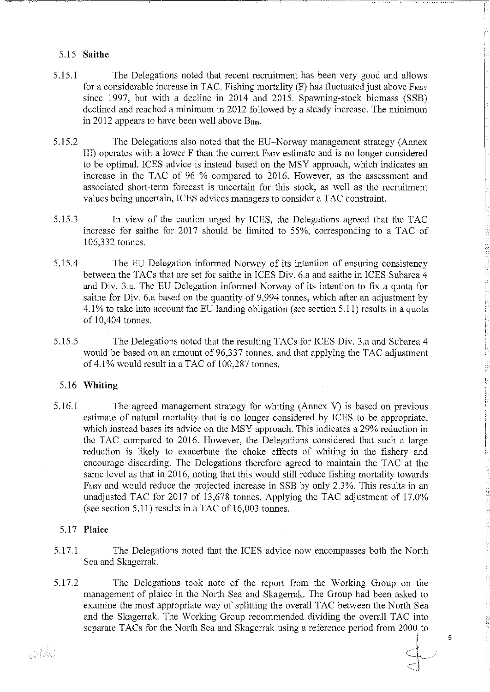# 5.15 **Saithe**

5.15.1 The Delegations noted that recent reeruitment has been very good and allows for a considerable increase in TAC. Fishing mortality  $(F)$  has fluctuated just above  $F_{MST}$ since 1997, but with a decline in 2014 and 2015. Spawning-stock biomass (SSB) declined and reached a minimum in 2012 followed by a steady increase. The minimum in 2012 appears to have been well above  $B_{\text{lim}}$ .

----------- ----~~-=~-=

į,

- 5.15.2 The Delegations also noted that the EU-Norway management strategy (Annex III) operates with a lower F than the current F<sub>MSY</sub> estimate and is no longer considered to be optimal. ICES advice is instead based on the MSY approach, which indicates an increase in the TAC of 96 % compared to 2016. However, as the assessment and associated short-term forceast is uncertain for this stock, as wel! as the reeruitment valnes being uncertain, ICES advices managers to consider aT AC constraint.
- 5.15.3 In view of the cantion urged by ICES, the Delegations agreed that the TAC increase for saithe for 2017 should be limited to 55%, corresponding to a TAC of 106,332 tonnes.
- 5.15.4 The EU Delegation inforrned Norway of its intention of ensuring consistency between the TACs that are set tor saithe in ICES Div. 6.a and saithe in ICES Subarea 4 and Div. 3.a. The EU Delegation informed Norway of its intention to fix a quota for saithe for Div. 6.a based on the quantity of 9,994 tonnes, which after an adjustment by 4.1% to take into account the EU landing obligation (see section 5.11) results in a quota of 10,404 tonnes.
- 5.15.5 The Delegations noted that the resulting TACs for ICES Div. 3.a and Subarea 4 would be based on an amount of 96,337 tonnes, and that applying the TAC adjustment of 4.1% would result in a TAC of 100,287 tonnes.

# 5.16 **Whiting**

5 .16 .1 The agreed management strategy for whiting (Annex V) is based on previous estimate of natural mortality that is no longer considered by ICES to be appropriate, which instead bases its advice on the MSY approach. This indicates a 29% reduction in the TAC compared to 2016. However, the Delegations considered that such a large reduction is likely to exacerbate the choke effects of whiting in the fishery and encourage discarding. The Delegations therefore agreed to maintain the TAC at the same level as that in 2016, noting that this would still reduce fishing mortality towards F<sub>MSY</sub> and would reduce the projected increase in SSB by only 2.3%. This results in an unadjusted TAC for 2017 of 13,678 tonnes. Applying the TAC adjustment of 17.0% (see section 5.11) results in a TAC of  $16,003$  tonnes.

#### 5.17 **Plaice**

- 5.17.1 The Delegations noted that the ICES advice now encompasses both the North Sea and Skagerrak.
- 5.17.2 The Delegations took note of the report from the Working Group on the management of plaice in the North Sea and Skagerrak. The Group had been asked to examine the most appropriate way of splitting the overall TAC between the North Sea and the Skagerrak. The Working Group recommended dividing the overall TAC into separate TACs for the North Sea and Skagerrak using a reference period from 2000 to  $\frac{1}{1}$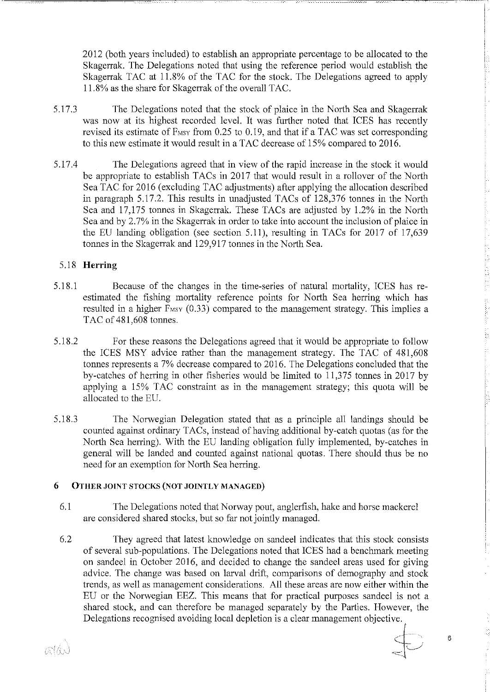2012 (both years included) to establish an appropriate percentage to be allocated to the Skagerrak. The Delegations noted that using the reference period would establish the Skagerrak TAC at 11.8% of the TAC for the stock. The Delegations agreed to apply 11.8% as the share for Skagerrak of the overall TAC.

- 5.17.3 The Delegations noted that the stock of plaice in the North Sea and Skagerrak was now at its highest recorded level. It was further noted that ICES has recently revised its estimate of  $F$ <sub>MSY</sub> from 0.25 to 0.19, and that if a TAC was set corresponding to this new estimate it would result in a TAC decrease of 15% compared to 2016.
- 5.17.4 The Delegations agreed that in view of the rapid increase in the stock it would be appropriate to establish TACs in 2017 that would result in a rollover of the North Sea TAC for 2016 (excluding TAC adjustments) after applying the allocation described in paragraph 5.17.2. This results in unadjusted TACs of 128,376 tonnes in the North Sea and 17,175 tonnes in Skagerrak. These TACs are adjusted by 1.2% in the North Sea and by 2. 7% in the Skagerrak in order to take into account the inclusion of plaice in the EU landing obligation (see section 5.11), resulting in TACs for 2017 of 17,639 tonnes in the Skagerrak and 129,917 tonnes in the North Sea.

# 5 .18 Herring

- 5.18.1 Because of the changes in the time-series of natura! mortality, ICES has reestimated the fishing mortality reference points for North Sea herring which has resulted in a higher  $F$ <sub>MSY</sub>  $(0.33)$  compared to the management strategy. This implies a TAC of 481,608 tonnes.
- 5.18.2 Forthese reasans the Delegations agreed that it would be appropriate to follow the ICES MSY advice rather than the management strategy. The TAC of 481,608 tonnes represents a 7% deercase compared to 2016. The Delegations concluded that the by-catches of herring in other fisheries would be limited to 11,375 tonnes in 2017 by applying a 15% TAC constraint as in the management strategy; this quota wil! be allocated to the EU.
- 5.18.3 The Norwegian Delegation stated that as a principle all landings should be counted against ordinary TACs, instead of having additional by-catch quotas (as for the North Sea herring). With the EU landing obligation fully implemented, by-catches in general wil! be landed and counted against national quotas. There should thus be no need for an exemption for North Sea herring.

#### 6 OTHER JOINT STOCKS (NOT JOINTLY MANAGED)

- 6.1 The Delegations noted that Norway pout, anglerfish, hake and horse mackerel are considered shared stocks, but so far not jointly managed.
- 6.2 They agreed that latest knowledge on sandeel indicates that this stock consists of several sub-populations. The Delegations noted that ICES had a benchmark meeting on sandeel in October 2016, and decided to change the sandeel areas used for giving advice. The change was based on larval drift, comparisons of demography and stock trends, as well as management considerations. All these areas are now either within the EU or the Norwegian EEZ. This means that for practical purposes sandeel is not a shared stock, and can therefore be managed separately by the Parties. However, the Delegations recognised avoiding local depletion is a clear management objective.

ath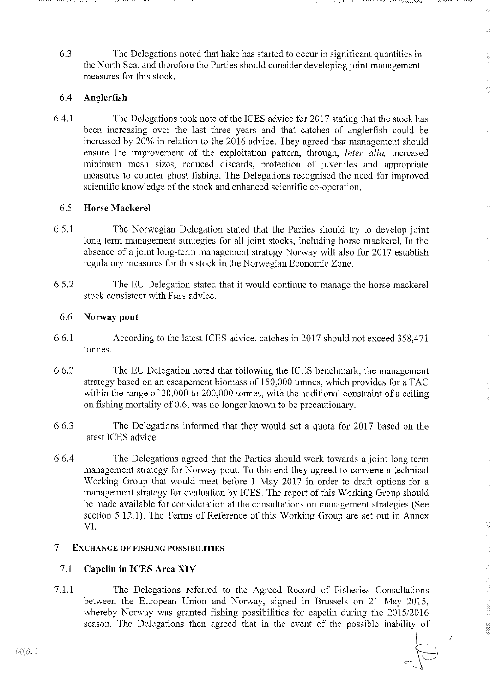6.3 The Delegations noted that hake has started to occur in significant quantities in the North Sea, and therefore the Parties should consider developing joint management measures for this stock.

--~-----~~ -----~- ------- ·~~~===~=~~-,----,--~-----==c---·

# 6.4 **Anglerfish**

6.4.1 The Delegations took note of the ICES advice for 2017 stating that the stock has been increasing over the last three years and that catches of anglerfish could be increased by 20% in relation to the 2016 advice. They agreed that management should ensure the improvement of the exploitation pattern, through, *inter alia*, increased minimum mesh sizes, reduced discards, proteetion of juveniles and appropriate measures to counter ghost fishing. The Delegations recognised the need for improved scientific knowledge of the stock and enhanced scientific co-operation.

# 6.5 **Horse Mackerel**

- 6.5.1 The Norwegian Delegation stated that the Parties should try to develop joint long-term management strategies for all joint stocks, including horse mackerel. In the absence of a joint long-term management strategy Norway wil! also for 2017 establish regulatory measures for this stock in the Norwegian Economie Zone.
- 6.5.2 The EU Delegation stated that it would continue to manage the horse mackerel stock consistent with F<sub>MSY</sub> advice.

# 6.6 **Norway pout**

- 6.6.1 According tothelatest ICES advice, catches in 2017 should nol exceed 358,471 tonnes.
- 6.6.2 The EU Delegation noted that following the TCES benchmark, the management strategy based on an escapement biomass of 150,000 tonnes, which provides for a TAC within the range of 20,000 to 200,000 tonnes, with the additional constraint of a ceiling on fishing mortality of 0.6, was no Jonger known to be precautionary.
- 6.6.3 The Delegations informed that they would set a quota for 2017 based on the latest !CES advice.
- 6.6.4 The Delegations agreed that the Parties should work towards a joint long term management strategy for Norway pout. To this end they agreed to convene a technica! Working Group that would meet before 1 May 2017 in order to draft options for a management strategy for evaluation by ICES. The report of this Working Group should be made available for consideration at the consultations on management strategies (See section 5.12.1). The Terms of Reference of this Working Group are set out in Annex VT.

#### **7 EXCHANGE OF FISHING POSSIBILITIES**

# 7.1 Capelin in ICES Area XIV

7 .1.1 The Delegations referred to the Agreed Record of Fisheries Consultations between the European Union and Norway, signed in Brussels on 21 May 2015, whereby Norway was granted fishing possibilities for capelin during the 2015/2016 season. The Delegations then agreed that in the event of the possible inability of

 $\epsilon$   $\Rightarrow$   $\epsilon$   $\Rightarrow$   $\epsilon$   $\Rightarrow$   $\epsilon$   $\Rightarrow$   $\epsilon$   $\Rightarrow$   $\epsilon$   $\Rightarrow$   $\epsilon$   $\Rightarrow$   $\epsilon$   $\Rightarrow$   $\epsilon$   $\Rightarrow$   $\epsilon$   $\Rightarrow$   $\epsilon$   $\Rightarrow$   $\epsilon$   $\Rightarrow$   $\epsilon$   $\Rightarrow$   $\epsilon$   $\Rightarrow$   $\epsilon$   $\Rightarrow$   $\epsilon$   $\Rightarrow$   $\epsilon$   $\Rightarrow$   $\epsilon$   $\Rightarrow$   $\epsilon$   $\Rightarrow$   $\epsilon$   $\Rightarrow$   $\epsilon$   $\Rightarrow$   $\epsilon$   $\Rightarrow$ 

aláJ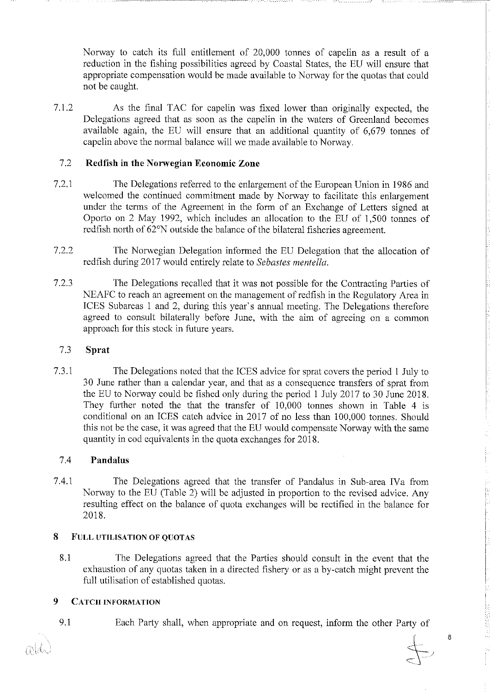Norway to catch its full entidement of 20,000 tonnes of capelin as a result of a reduction in the fishing possibilities agreed by Coastal States, the EU will ensure that appropriate compensation would be made available to Norway for the quotas that could not be caught.

----~~~~~---~~~~~--=~~------.-. -----------------------~=-=-

7.1.2 As the final TAC for capelin was fixed lower than originally expected, the Delegations agreed that as soon as the capelin in the waters of Greenland becomes available again, the EU wil! ensure that an additional quantity of 6,679 tonnes of capelin above the normal balance will we made available to Norway.

#### 7.2 **Redfish in the Norwegian Economie Zone**

- 7.2.1 The Delegations referred to the enlargement of the European Union in 1986 and welcomed the continued commitment made by Norway to facilitate this enlargement under the terms of the Agreement in the form of an Exchange of Letters signed at Oporto on 2 May 1992, which includes an allocation to the EU of 1,500 tonnes of redfish north of 62°N outside the balance of the bilateral fisheries agreement.
- 7.2.2 The Norwegian Delegation informed the EU Delegation that the allocation of redfish during 2017 would entirely relate to *Sebastes mentella.*
- 7.2.3 The Delegations recalled that it was not possihle for the Contracting Parties of NEAFC to reach an agreement on the management of redfish in the Reguiatory Area in ICES Subareas l and 2, during this year's annual meeting. The Delegations therefore agreed to consult bilaterally before June, with the aim of agreeing on a common approach for this stock in future years.

#### 7.3 **Sprat**

7.3.1 The Delegations noted that the ICES advice forsprat covers the period l July to 30 June rather than a calendar year, and that as a consequence transfers of sprat from the EU to Norway could be fished only during the period l July 2017 to 30 June 2018. They further noted the that the transfer of  $10,000$  tonnes shown in Table 4 is conditional on an ICES catch advice in 2017 of no less than 100,000 tonnes. Should this not be the case, it was agreed that the EU would compensate Norway with the same quantity in cod equivalents in the quota exchanges for 2018.

#### 7.4 **Pandalus**

7.4.1 The Delegations agreed that the transfer of Pandalus in Sub-area IVa from Norway to the EU (Table 2) wil! be adjusted in proportion to the revised advice. Any resulting effect on the balance of quota exchanges wil! be rectified in the balance for 2018.

#### **8 FULL UTILISATION OF QUOTAS**

8.1 The Delegations agreed that the Parties should consult in the event that the exhaustion of any quotas taken in a directed fishery or as a by-catch might prevent the full utilisation of established quotas.

#### **9 CATCH INFORMATION**

9 .I Each Party shall, when appropriate and on request, inform the other Party of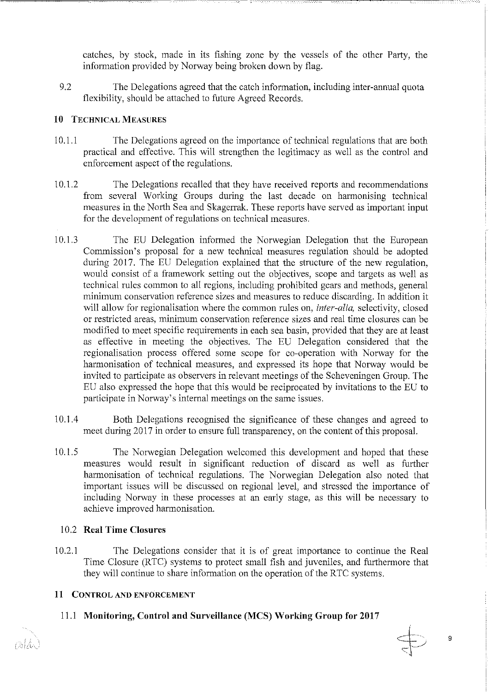catches, by stock, made in its fishing zone by the vessels of the other Party, the information provided by Norway being broken down by flag.

9.2 The Delegations agreed that the catch information, including inter-annual quota flexibility, should be attached to future Agreed Records.

~~~~~~~~~~~~~~~~ --------------------- ------~~~~~~---c=c-c-,.------,-,-,-=--~~c-==--

# **10 TECHNICAL MEASURES**

- 10.1.1 The Delegations agreed on the importance of technica! regulations that are both practical and effective. This will strengthen the legitimacy as wel! as the control and enforcement aspect of the regulations.
- I 0.1.2 The Delegations recalled that they have received reports and recommendations from several Working Groups during the last decade on harmonising technical measures in the North Sea and Skagerrak. These reports have served as important input for the development of regulations on technical measures.
- I 0.1.3 The EU Delegation inforrned the Norwegian Delegation that the Emopean Commission's proposal for a new technica! measures regulation should be adopted during 2017. The EU Delegation explained that the structure of the new regulation, would consist of a framework setting out the objectives, scope and targets as well as technica! rules common to all regions, including prohibited gears and methods, general minimum conservalion reference sizes and measures to rednee discarding. In addition it will allow for regionalisation where the common rules on, *inter-alia*, selectivity, closed or restricted areas, minimum conservalion reference sizes and real time closures can be modified to meet specific requirements in each sea basin, provided that they are at least as effective in meeting the objectives. The EU Delegation considered that the regionalisation process offered some scope for co-operation with Norway for the harmonisation of technical measures, and expressed its hope that Norway would be invited to participate as observers in relevant meetings of the Scheveningen Group. The EU also expressed the hope that this would be reciprocated by invitations to the EU to participate in Norway's internal meetings on the same issues.
- 1 0.1.4 Both Delegations recognised the significanee of these changes and agreed to meet during 2017 in order to ensure full transparency, on the content of this proposal.
- I 0.1.5 The Norwegian Delegation welcomed this development and hoped that these measures would result in significant reduction of discard as well as further harmonisation of technical regulations. The Norwegian Delegation also noted that important issues will be discussed on regional level, and stressed the importance of including Norway in these processes at an carly stage, as this wil! be necessary to achleve improved harmonisation.

# I 0.2 **Real Time Closures**

10.2.1 The Delegations consider that it is of great importance to continue the Real Time Closure (RTC) systems to protect small fish and juveniles, and furthermore that they will continue to share information on the operation of the RTC systems.

# **11 CONTROL AND ENFORCEMENT**

# 11.1 **Monitoring, Control and Surveillance (MCS) Working Group for 2017**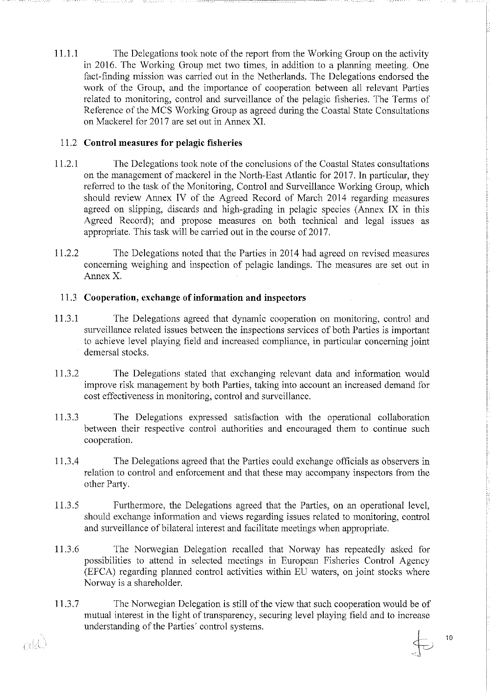11.1.1 The Delegations took note of the report from the Working Group on the activity in 2016. The Working Group met two times, in addition to a planning meeting. One fact-finding mission was carried out in the Netherlands. The Delegations endorsed the work of the Group, and the importance of cooperation between all relevant Parties related to monitoring, control and surveillance of the pelagic fisheries. The Terms of Reference of the MCS Working Group as agreed during the Coastal State Consultations on Mackerel for 2017 are set out in Annex XI.

~~~~~~ --.. ------------ c-- ~~-~~~-~-======---~~~-.. -.. -.. -. ----------~-·----.--.. -.-

# 11.2 **Control measnres for pelagic fisheries**

- 11.2.1 The Delegations took note of the conclusions of the Coastal States consultations on the management of mackerel in the North-East Atlantic for 2017. In particular, they referred to the task of the Monitoring, Control and Surveillance Working Group, which should review Annex IV of the Agreed Record of March 2014 regarding measures agreed on slipping, discards and high-grading in pelagic species (Annex IX in this Agreed Record); and propose measures on both technical and legal issues as appropriate. This task will be carried out in the course of 2017.
- 11.2.2 The Delegations noted that the Parties in 2014 had agreed on revised measures concerning weighing and inspeetion of pelagic landings. The measures are set out in Annex X.

# 11.3 **Cooperation, exchange of information and inspeetors**

- 11.3.1 The Delegations agreed that dynamic cooperation on monitoring, control and surveillance related issues between the inspections services of both Parties is important to achieve level playing field and increased compliance, in particular concerning joint demersal stocks.
- 11.3.2 The Delegations stated that exchanging relevant data and information would improve risk management by both Parties, taking into account an increased demand for cost effectiveness in monitoring, control and surveillance.
- 11.3 .3 The Delegations expressed satisfaction with the operational collaboration between their respective control authorities and encouraged them to continue such cooperation.
- 11.3.4 The Delegations agreed that the Parties could exchange officials as observers in relation to control and enforcement and that these may accompany inspectors from the other Party.
- 11.3.5 Furthermore, the Delegations agreed that the Parties, on an operational level, should exchange information and views regarding issues related to monitoring, control and surveillance of bilateral interest and facilitate meetings when appropriate.
- 11.3.6 The Norwegian Delegation recalled that Norway has repeatedly asked for possibilities to attend in selected meetings in European Fisheries Control Agency (EFCA) regarding planned control activities within EU waters, on joint stocks where Norway is a shareholder.
- 11.3.7 The Norwegian Delegation is still of the view that such cooperation would be of mutual interest in the light of transparency, securing level playing field and to increase understanding of the Parties' control systems.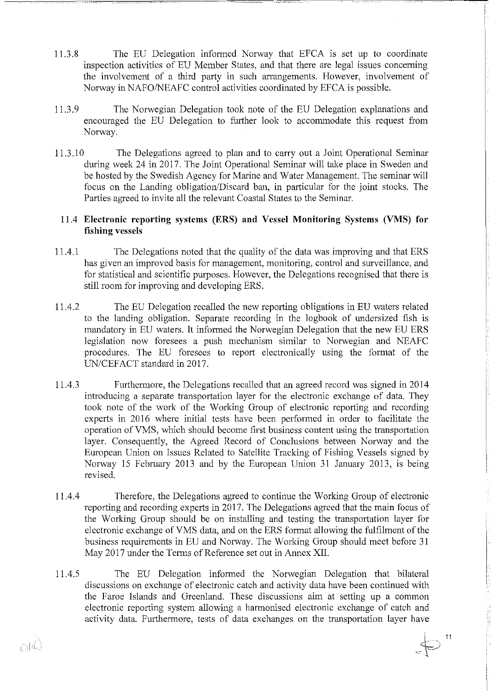11.3.8 The EU Delegation informed Norway that EFCA is set up to coordinate inspection activities of EU Member States, and that there are legal issues concerning the involvement of a third party in such arrangements. However, involvement of Norway in NAFO/NEAFC control activities coordinated by EFCA is possible.

----------- -~-~=~-~----

 $\oplus$ 

 $11$ 

- 11.3.9 The Norwegian Delegation took note of the EU Delegation explanations and encouraged the EU Delegation to further look to accommodate this request from Norway.
- 11.3.10 The Delegations agreed to plan and to carry out a Joint Operational Seminar during week 24 in 2017. The Joint Operational Seminar will take place in Sweden and be hosted by the Swedish Agency for Marine and Water Management. The seminar will focus on the Landing obligation/Discard ban, in particular for the joint stocks. The Parties agreed to invite all the relevant Coastal States to the Seminar.

#### 11.4 **Electronic reporting systems (ERS) and Vessel Monitoring Systems (VMS) for fishing vessels**

- 11.4.1 The Delegations noted that the quality of the data was improving and that ERS has given an improved basis for management, monitoring, control and surveillance, and for statistical and scientific purposes. However, the Delegations recognised that there is still room for improving and developing ERS.
- 11.4.2 The EU Delegation recalled the new reporting obligations in EU waters related to the landing obligation. Separate recording in the Iogbook of undersized fish is mandatory in EU waters. It informed the Norwegian Delegation that the new EU ERS legislation now foresees a push mechanism similar to Norwegian and NEAFC procedures. The EU foresees to report electronically using the format of the UN/CEFACT standard in 2017.
- 11.4.3 Furthermore, the Delegations recalled that an agreed record was signed in 2014 introducing a separate transportation layer for the electronic exchange of data. They took note of the work of the Working Group of electronic reporting and recording experts in 2016 where initial tests have been performed in order to facilitate the operation of VMS, which should become first business content using the transportation layer. Consequently, the Agreed Record of Conclusions between Norway and the European Union on Issues Related to Satellite Tracking of Fishing Vessels signed by Norway 15 Fcbruary 2013 and by the European Union 31 January 2013, is being revised.
- 11.4.4 Therefore, the Delegations agreed to continue the Working Group of electronic reporting and recording expetis in 2017. The Delegations agreed that the main focus of the Working Group should be on installing and testing the transportation layer for electronic exchange of VMS data, and on the ERS format allowing the fulfilment of the business requirements in EU and Norway. The Working Group should meet before 31 May 2017 under the Terms of Reference set out in Annex XII.
- 11.4.5 The EU Delegation informed the Norwegian Delegation that bilateral discussions on exchange of electronic catch and activity data have been continued with the Faroe Islands and Greenland. These discussions aim at setting up a common electronic reporting system allowing a harmonised electronic exchange of catch and activity data. Furthermore, tests of data exchanges on the transportation layer have

 $\alpha$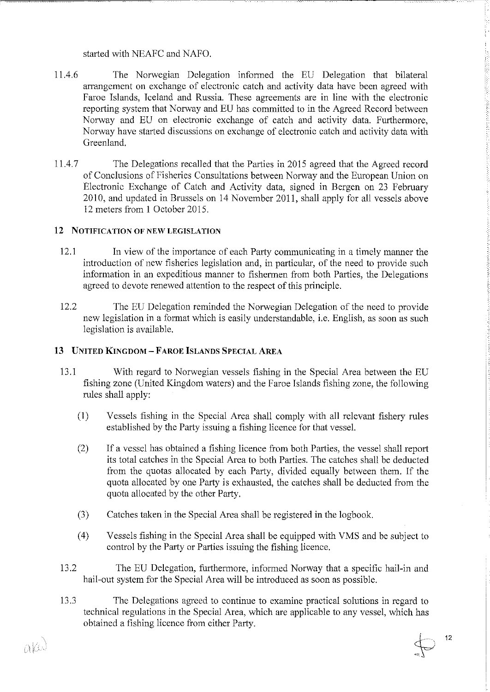started with NEAFC and NAFO.

- 11.4.6 The Norwegian Delegation informed the EU Delegation that bilateral arrangement on exchange of electronic catch and activity data have been agreed with Faroe Islands, leeland and Russia. These agreements are in line with the electronic reporting system that Norway and EU has committed to in the Agreed Record between Norway and EU on electronic exchange of catch and activity data. Furthermore, Norway have started discussions on exchange of electronic catch and activity data with Greenland.
- 11.4.7 The Delegations recalled that the Parties in 2015 agreed that the Agreed record of Conclusions of Fisheries Consultations between Norway and the European Union on Electronic Exchange of Catch and Activity data, signed in Bergen on 23 February 2010, and updated in Brussels on 14 November 2011, shall apply for all vessels above 12 meters from 1 October 2015.

# 12 NOTIFICATION OF NEW LEGISLATION

- 12.1 In view of the importance of each Party communicating in a timely manner the introduction of new fisheries legislation and, in particular, of the need to provide such information in an expeditious manner to fishermen from both Parties, the Delegations agreed to devote renewed attention to the respect of this principle.
- 12.2 The EU Delegation reminded the Norwegian Delegation of the need to provide new legislation in a format which is easily understandable, i.e. English, as soon as such legislation is available.

# 13 UNITED KINGDOM - FAROE ISLANDS SPECIAL AREA

- 13.1 With regard to Norwegian vessels fishing in the Special Area between the EU fishing zone (United Kingdom waters) and the Faroe Islands fishing zone, the following rules shall apply:
	- (I) Yesseis fishing in the Special Area shall comply withall relevant fishery rules established by the Party issuing a fishing licence for that vessel.
	- (2) If a vessel has obtained a fishing licence from both Parties, the vessel shall report its total catches in the Special Area to both Parties. The catches shall be deducted from the quotas allocated by each Party, divided equally between them. If the quota allocated by one Party is exhausted, the catches shall be deducted from the quota allocated by the other Party.
	- (3) Catches taken in the Special Area shall be registered in the logbook.
	- (4) Yesseis fishing in the Special Area shall be equipped with YMS and be subject to control by the Party or Parties issuing the fishing licence.
- 13.2 The EU Delegation, furthermore, informed Norway that a specific hail-in and hail-out system for the Special Area will be introduced as soon as possible.
- 13.3 The Delegations agreed to continue to examine practical solutions in regard to technica] regulations in the Special Area, which are applicable to any vessel, which has obtained a fishing licence from either Party.  $\oint$  12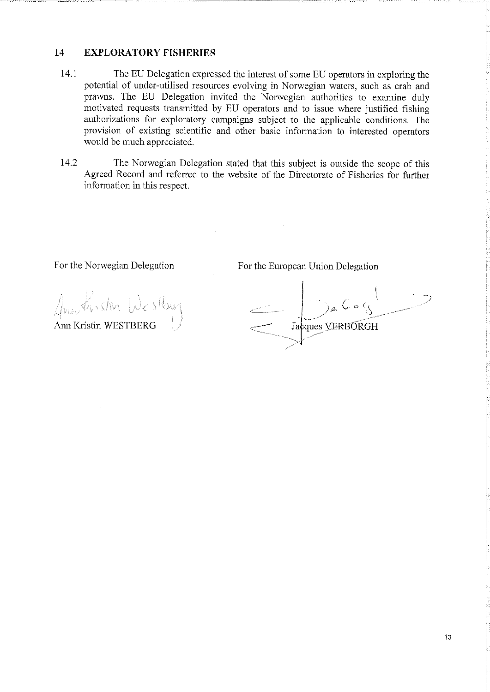# **14 EXPLORA TORY FISHERlES**

- 14.1 The EU Delegation expressed the interest of some EU operators in exploring the potential of under-utilised resources evolving in Norwegian waters, such as crab and prawns. Thc EU Delegation invited the Norwegian authorities to examine duly motivated requests transmitted by EU operators and to issue where justified fishing authorizations for exploratory campaigns subject to the applicable conditions. The provision of existing scientific and other basic information to interested operators would be much appreciated.
- 14.2 The Norwegian Delegation stated that this subject is outside the scope of this Agreed Record and referred to the website of the Directorate of Pisheries for further in formation in this respect.

For the Norwegian Delegation

For the European Union Delegation

~~~~~=~~~~~~~~~~~~~~~~----------~~-~----

Ann Kristin Westburg<br>Ann Kristin WESTBERG

 $\setminus$ ~}À *c* 0 (\. ' ,\_\_\_\_, \_ \_. Jacques VERBORGH --··~'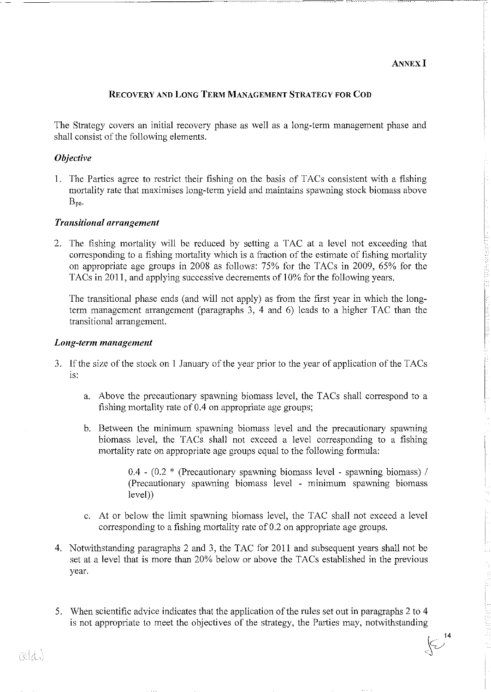#### **ANNEX I**

 $\left\{ \bigtriangledown^{14} \right.$  $\epsilon$ 

#### **RECOVERY AND LONG TERM MANAGEMENT STRATEGY FOR COD**

---------------------------------

The Strategy covers an initial recovery phase as well as a long-term management phase and shall consist of the following elements.

#### **Objective**

I. The Parties agree to restriet their fishing on the basis of TACs consistent with a fishing mortality rate that maximises long-term yield and maintains spawning stock biomass above Bpa.

#### *Transitional arrangement*

2. The fishing mortality wil! be reduced by setting a TAC at a level not exceeding that corresponding to a fishing mortality which is a fraction of the estimate of fishing mortality on appropriate age groups in 2008 as follows: 75% for the TACs in 2009, 65% for the TACs in 2011, and applying successive decrements of 10% for the following years.

The transitional phase ends (and wil! not apply) as from the first year in which the longterm management arrangement (paragraphs 3, 4 and 6) leads to a higher TAC than the transitional arrangement.

#### *Long-term management*

- 3. If the size of the stock on 1 January of the year prior to the year of application of the TACs is:
	- a. Above the precautionary spawning biomass level, the TACs shall correspond to a fishing mortality rate of 0.4 on appropriate age groups;
	- b. Between the minimum spawning biomass level and the precautionary spawning biomass level, the TACs shall not exceed a level corresponding to a fishing mortality rate on appropriate age groups equal to the following formula:

 $0.4$  -  $(0.2 *$  (Precautionary spawning biomass level - spawning biomass) / (Precautionary spawning biomass level - minimum spawning biomass level))

- c. At or below the limit spawning biomass level, the T AC shall not exceed a level corresponding to a fishing mortality rate of 0.2 on appropriate age groups.
- 4. Notwithstanding paragraphs 2 and 3, the TAC for 20ll and subsequent years shall not be set at a level that is more than 20% below or above the TACs established in the previous year.
- 5. When scientific advice indicates that the application of the rules set out in paragraphs 2 to 4 is not appropriate to meet the objectives of the strategy, the Parties may, notwithstanding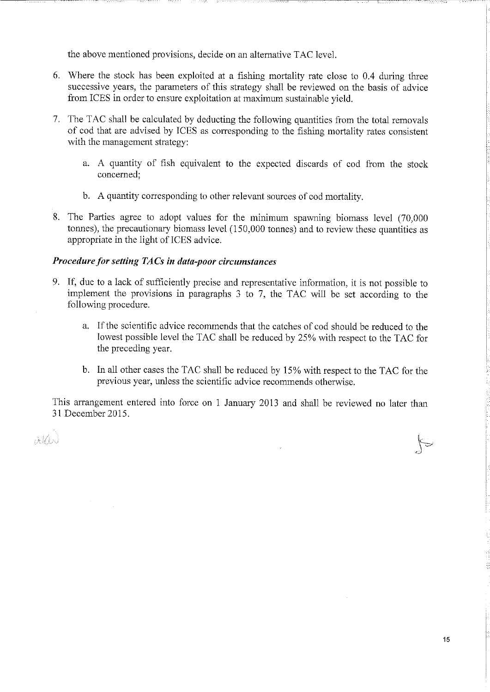the above mentioned provisions, decide on an alternative TAC level.

- 6. Where the stock has been exploited at a fishing mortality rate close to 0.4 during three successive years, the parameters of this strategy shall be reviewed on the basis of advice from ICES in order to ensure exploitation at maximum sustainable yield.
- 7. The TAC shall be calculated by deducting the following quantities from the total removals of cod that are advised by ICES as corresponding to the fishing mortality rates consistent with the management strategy:
	- a. A quantity of fish equivalent to the expected discards of cod from the stock concerned;
	- b. A quantity corresponding to other relevant sourees of cod mortality.
- 8. The Parties agree to adopt values for the minimum spawning biomass level (70,000 tonnes), the precautionary biomass level (150,000 tonnes) and to review these quantities as appropriate in the light of ICES advice.

#### **Procedure for setting TACs in data-poor circumstances**

- 9. If, due to a lack of sufficiently precise and representative information, it is not possible to implement the provisions in paragraphs 3 to 7, the TAC will be set according to the following procedure.
	- a. If the scientific advice recommends that the catches of cod should be reduced to the lowest possible level the TAC shall be reduced by 25% with respect to the TAC for the preceding year.
	- b. In all other cases the TAC shall be reduced by 15% with respect to the TAC for the previous year, unless the scientific advice recommends otherwise.

This arrangement entered into force on 1 January 2013 and shall be reviewed no later than 31 December 2015.

 $\alpha$ Ko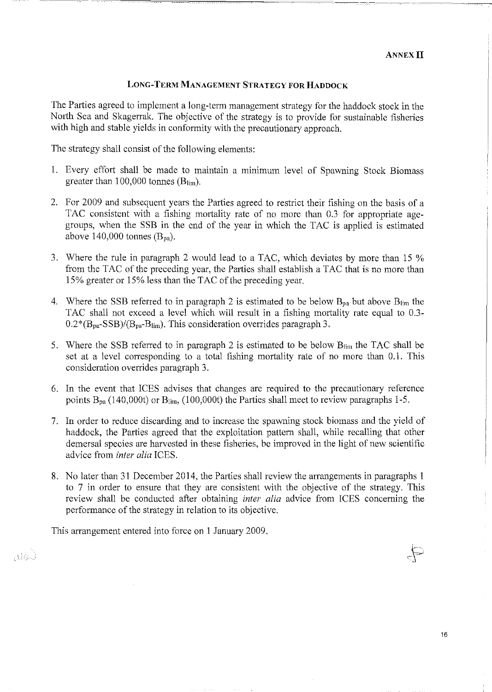#### **LONG-TERM MANAGEMENT STRATEGY FOR HADDOCK**

The Parties agreed to implement a long-term management strategy for the haddock stock in the North Sea and Skagerrak. The objective of the strategy is to provide for sustainable fisheries with high and stabie yields in conformity with the precautionary approach.

The strategy shall consist of the following elements:

- 1. Every effort shall be made to maintain a minimum level of Spawning Stock Biomass greater than 100,000 tonnes  $(B_{lim})$ .
- 2. Por 2009 and subsequent years the Parties agreed to restriet their fishing on the basis of a TAC consistent with a fishing mortality rate of no more than 0.3 for appropriate agegroups, when the SSB in the end of the year in which the TAC is applied is estimated above 140,000 tonnes  $(B_{pa})$ .
- 3. Where the rule in paragraph 2 would lead to a TAC, which deviates by more than 15 % from the TAC of the preceding year, the Parties shall establish a TAC that is no more than 15% greater or 15% less than the TAC of the preceding year.
- 4. Where the SSB referred to in paragraph 2 is estimated to be below  $B_{pa}$  but above  $B_{lim}$  the TAC shall not exceed a level which will result in a fishing mortality rate equal to 0.3-  $0.2*(B<sub>pa</sub>-SSB)/(B<sub>pa</sub>-B<sub>lim</sub>)$ . This consideration overrides paragraph 3.
- 5. Where the SSB refened to in paragraph 2 is estimated to be below Blim the TAC shall be set at a level corresponding to a total fishing mortality rate of no more than 0.1. This consideration overrides paragraph 3.
- 6. In the event that ICES advises that changes are required to the precautionary reference points  $B_{pa}$  (140,000t) or  $B_{lim}$ , (100,000t) the Parties shall meet to review paragraphs 1-5.
- 7. In order to rednee discarding and to increase the spawning stock biomass and the yield of haddock, the Parties agreed that the exploitation pattem shall, while recalling that other demersal species are harvested in these fisheries, be improved in the light of new scientific advice from *inter alia* ICES.
- 8. No later than 31 December 2014, the Parties shall review the arrangements in paragraphs 1 to 7 in order to ensure that they are consistent with the objective of the strategy. This review shall be conducted after obtaining *inter alia* advice from ICES concerning the performance of the strategy in relation to its objective.

This arrangement entered into force on 1 January 2009.

nik

 $\mathbb{P}$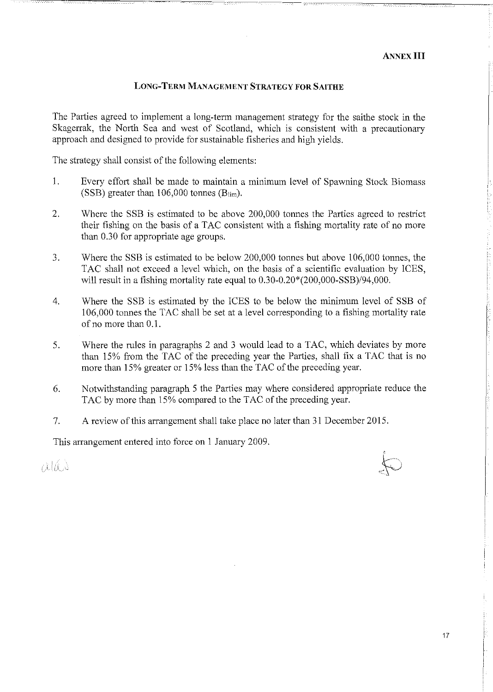#### **LONG-TERM MANAGEMENT STRATEGY FOR SAITHE**

The Parties agreed to implement a long-term management strategy for the saithe stock in the Skagerrak, the North Sea and west of Scotland, which is consistent with a precautionary approach and designed to provide for sustainable fisheries and high yields.

The strategy shall consist of the following elements:

- 1. Every effort shall be made to maintain a minimum level of Spawning Stock Biomass (SSB) greater than  $106,000$  tonnes (B<sub>lim</sub>).
- 2. Where the SSB is estirnated to be above 200,000 tonnes the Parties agreed to restriet their fishing on the basis of a TAC consistent with a fishing mortality rate of no more than 0.30 for appropriate age groups.
- 3. Where the SSB is estirnated to be below 200,000 tonnes but above 106,000 tonnes, the TAC shall not exceed a level which, on the basis of a scientific evaluation by ICES, will result in a fishing mortality rate equal to 0.30-0.20\*(200,000-SSB)/94,000.
- 4. Where the SSB is estimated by the ICES to be below the minimum level of SSB of 106,000 tonnes the TAC shall be set at a level corresponding to a fishing mortality rate of no more than  $0.1$ .
- 5. Where the rules in paragraphs 2 and 3 would lead to a TAC, which deviates by more than 15% from the TAC of the preceding year the Parties, shall fix a TAC that is no more than 15% greater or 15% less than the TAC of the preceding year.
- 6. Notwithstanding paragraph 5 the Parties may where considered appropriate rednee the TAC by more than 15% compared to the TAC of the preceding year.
- 7. A review of this arrangement shall take place no later than 31 December 2015.

This arrangement entered into force on 1 January 2009.

niks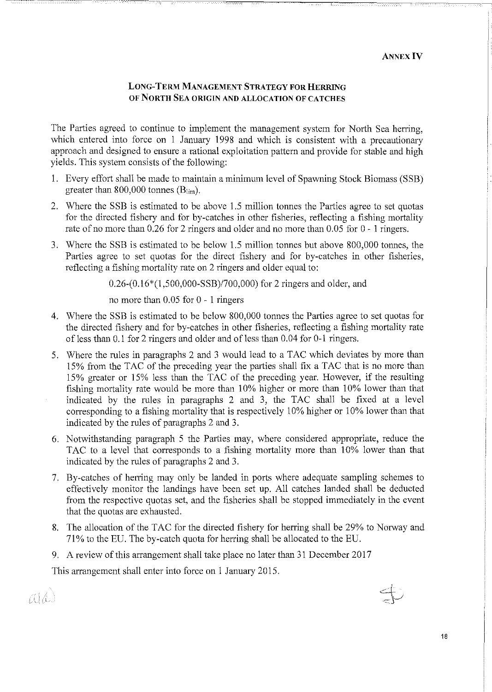# **LONG-TERM MANAGEMENT STRATEGY FOR HERRING**  OF NORTH SEA ORIGIN AND ALLOCATION OF CATCHES

The Parties agreed to continue to implement the management system for North Sea herring, which entered into force on 1 January 1998 and which is consistent with a precautionary approach and designed to ensure a rational exploitation pattem and provide for stabie and high yields. This system consists of the following:

- 1. Every effort shall be made to maintain a minimum level of Spawning Stock Biomass (SSB) greater than 800,000 tonnes  $(B_{lim})$ .
- 2. Where the SSB is estimated to be above 1.5 million tonnes the Parties agree to set quotas for the directed fishery and for by-catches in other fisheries, reflecting a fishing mortality rate of no more than  $0.26$  for 2 ringers and older and no more than  $0.05$  for  $0 - 1$  ringers.
- 3. Wh ere the SSB is estimated to be below 1.5 miJlion tonnes but above 800,000 tonnes, the Parties agree to set quotas for the direct fishery and for by-catches in other fisheries, reflecting a fishing mortality rate on 2 ringers and older equal to:

0.26-(0.16\*(1,500,000-SSB)/700,000) for 2 ringers and older, and

no more than 0.05 for 0 - 1 ringers

- 4. Where the SSB is estimated to be below 800,000 tonnes the Parties agree to set quotas for the directed fishery and for by-catches in other fisheries, reflecting a fishing mortality rate of less than 0.1 for 2 ringers and older and of less than 0.04 for 0-1 ringers.
- 5. Where the rules in paragraphs 2 and 3 would lead to a TAC which deviates by more than 15% from the TAC of the preceding year the parties shall fix a TAC that is no more than 15% greater or 15% less than the TAC of the preceding year. However, if the resulting fishing mortality rate would be more than  $10\%$  higher or more than  $10\%$  lower than that indicated by the rules in paragraphs 2 and 3, the TAC shall be fixed at a level corresponding to a fishing mortality that is respectively 10% higher or 10% lower than that indicated by the rules of paragraphs 2 and 3.
- 6. Notwithstanding paragraph 5 the Parties may, where considered appropriate, rednee the TAC to a level that corresponds to a fishing mortality more than 10% lower than that indicated by the rules of paragraphs 2 and 3.
- 7. By-catches of herring may only be landed in ports where adequate sampling schemes to effectively monitor the landings have been set up. All catches landed shall be deducted from the respective quotas set, and the fisheries shall be stopped immediately in the event that the quotas are exhausted.
- 8. The allocation of the TAC for the directed fishery for herring shall be 29% to Norway and 71% to the EU. The by-catch quota for herring shall be allocated to the EU.
- 9. A review of this arrangement shall take place no later than 31 December 2017

This arrangement shall enter into force on 1 January 2015.

 $\pi$ k

---c:--c-c-===~·------- -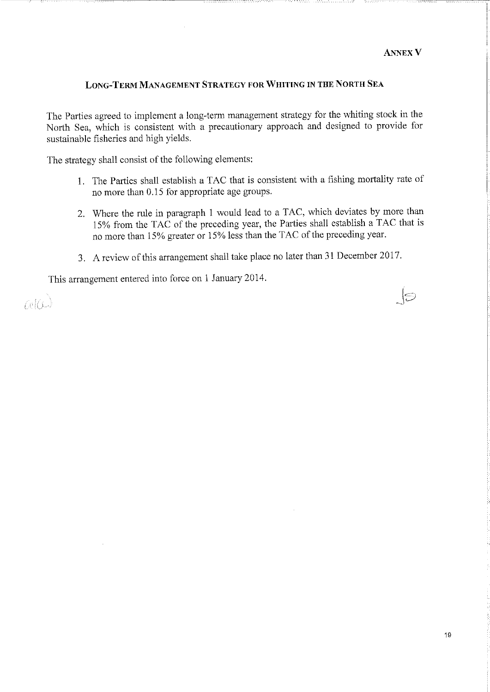$\Theta$ 

#### **LONG-TERM MANAGEMENT STRATEGY FOR WHITING IN THE NORTil SEA**

The Parties agreed to implement a long-term management strategy tor the whiting stock in the North Sea, which is consistent with a precautionary approach and designed to provide for sustainable fisheries and high yields.

The strategy shall consist of the following elements:

- 1. The Parties shall establish a TAC that is consistent with a fishing mortality rate of no more than 0.15 for appropriate age groups.
- 2. Where the rule in paragraph 1 would lead to a TAC, which deviates by more than 15% from the TAC of the preceding year, the Parties shall establish a TAC that is no more than 15% greater or 15% less than the TAC of the preceding year.
- 3. A review of this arrangement shall take place no later than 31 December 2017.

This arrangement entered into force on 1 January 2014.

mrc

19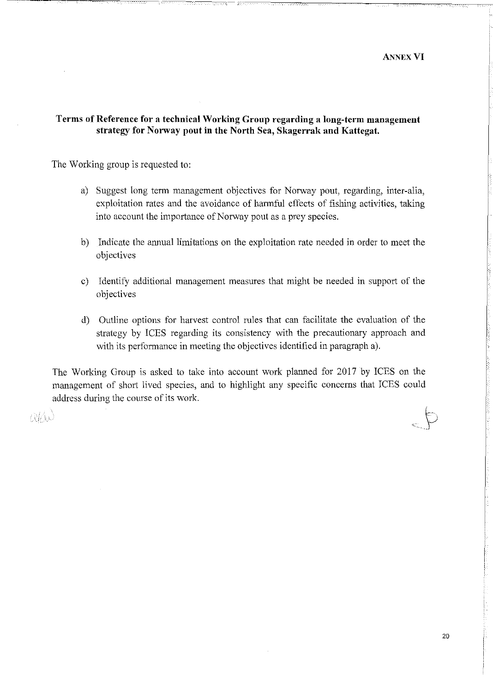**ANNEX VI** 

# Terms of Reference for a technical Working Group regarding a long-term management strategy for Norway pout in the North Sea, Skagerrak and Kattegat.

The Working group is requested to:

- a) Suggest long term management objectives for Norway pout, regarding, inter-alia, exploitation rates and the avoidanee of harmful effects of fishing activities, taking into account the importance of Norway pout as a prey species.
- b) Indicate the annual limitations on the exploitation rate needed in order to meet the objectives
- c) Identify additional management measures that might be needed in support of the objectives
- d) Outline options for harvest control rules that can facilitate the evaluation of the strategy by ICES regarding its consistency with the precautionary approach and with its performance in meeting the objectives identified in paragraph a).

The Working Group is asked to take into account work planned for 2017 by ICES on the management of short lived species, and to highlight any specific concerns that ICES could address during the course of its work.

ahe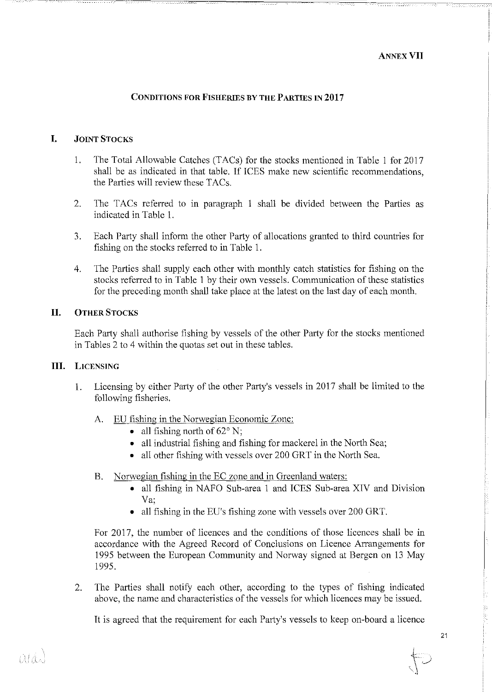#### **ANNEXVIl**

# **CONDITIONS FOR FISHERlES BY THE PARTlES IN 2017**

#### **I. JOINT STOCKS**

- 1. The Total Allowable Catches (TACs) for the stocks mentioned in Table I for 2017 shall be as indicated in that table. If ICES make new scientific recommendations, the Parties will review these TACs.
- 2. The TACs referred to in paragraph 1 shall be divided between the Parties as indicated in Table 1.
- 3. Each Party shall inform the other Party of allocations granted to third countries for fishing on the stocks referred to in Table 1.
- 4. The Parties shall supply each other with monthly catch stalistics for fishing on the stocks referred to in Table 1 by their own vessels. Communication of these stalistics for the preceding month shall take place at the latest on the last day of each month.

#### **II. OTHER STOCKS**

Each Party shall authorise fishing by vessels of the other Party for the stocks mentioned in Tables 2 to 4 within the quotas set out in these tables.

#### **liJ. LICENSING**

- 1. Licensing by either Party of the other Party's vessels in 2017 shall be limited to the following fisheries.
	- A. EU fishing in the Norwegian Economie Zone:
		- all fishing north of  $62^{\circ}$  N;
		- all industrial fishing and fishing for mackerel in the North Sea;
		- all other fishing with vessels over 200 GRT in the North Sea.
	- B. Norwegian fishing in the EC zone and in Greenland waters:
		- all fishing in NAFO Sub-area 1 and ICES Sub-area XIV and Division Va;
		- all fishing in the EU's fishing zone with vessels over 200 GRT.

For 2017, the number of licences and the conditions of those licences shall be in accordance with the Agreed Record of Conclusions on Licence Arrangements for 1995 between the European Community and Norway signed at Bergen on 13 May 1995.

2. The Parties shall notify each other, according to the types of fishing indicated above, the name and characteristics of the vessels for which licences may be issued.

It is agreed that the requirement for each Party's vessels to keep on-board a licence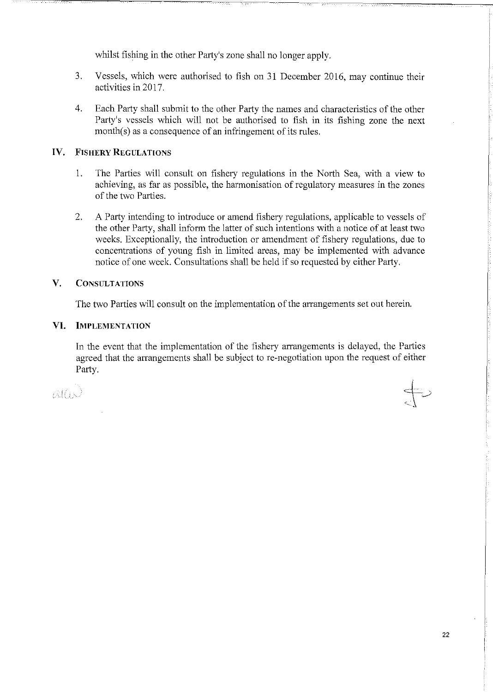whilst fishing in the other Party's zone shall no Jonger apply.

- 3. Vessels, which were authorised to fish on 31 December 2016, may continue their activities in 2017.
- 4. Each Party shall submit to the other Party the narnes and characteristics of the other Party's vessels which will not be authorised to fish in its fishing zone the next month $(s)$  as a consequence of an infringement of its rules.

#### **IV. FISHERY REGULATIONS**

- 1. The Parties wil! consult on fishery regulations in the North Sea, with a view to achieving, as far as possible, the harmonisation of regulatory measures in the zones of the two Parties.
- 2. A Party intending to introduce or amend fishery regulations, applicable to vessels of the other Party, shall inform the latter of such intentions with a notice of at least two weeks. Exceptionally, the introduction or amendment of fishery regulations, due to concentrations of young fish in limited areas, may be implemented with advance notice of one week. Consultations shall be held if so requested by either Party.

#### **V. CONSULTATIONS**

The two Parties will consult on the implementation of the arrangements set out herein.

#### **Vl. IMPLEMENTATION**

In the event that the implementation of the fishery arrangements is delayed, the Parties agreed that the arrangements shall be subject to re-negotiation upon the request of either Party.

*)('* 

 $\Leftarrow$  $\sqrt{ }$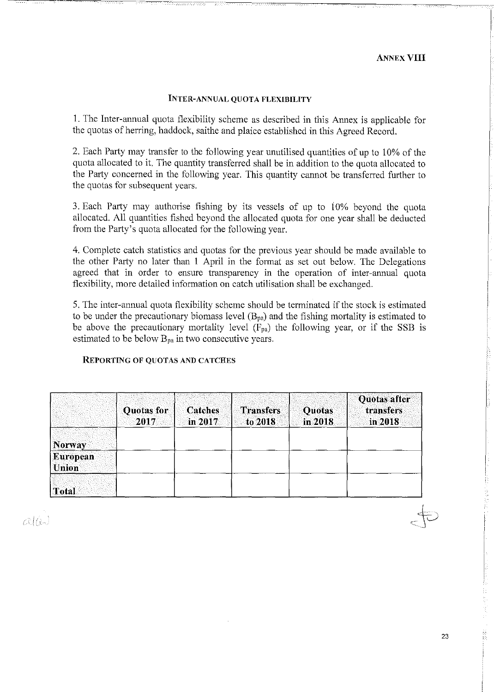#### **INTER-ANNUAL QUOTA FLEXIBILITY**

1. The Inter-annual quota flexibility scheme as described in this Annex is applicable for the quotas of herring, baddoek, saithe and plaice established in this Agreed Record.

2. Each Party may transfer to the following year unutilised quantities of up to 10% of the quota allocated to it. The quantity transferred shall be in addition to the quota allocated to the Party concerned in the following year. This quantity cannot be transferred further to the quotas for subsequent years.

3. Each Party may authorise fishing by its vessels of up to 10% beyond the quota allocated. All quantities fished beyond the allocated quota for one year shall be deducted from the Party's quota allocated for the following year.

4. Complete catch statistics and quotas for the previous year should be made available to the other Party no later than 1 April in the fonnat as set out below. The Delegations agreed that in order to ensure transparency in the operation of inter-annual quota flexibility, more detailed inforrnation on catch utilisation shall be exchanged.

5. The inter-annual quota flexibility scheme should be terminated if the stock is estimated to be under the precautionary biomass level  $(B_{pa})$  and the fishing mortality is estimated to be above the precautionary mortality level  $(F_{pa})$  the following year, or if the SSB is estimated to be below  $B_{pa}$  in two consecutive years.

#### **REPORTING OF QUOTAS AND CATCHES**

|                                 | <b>Quotas for</b><br>2017 | <b>Catches</b><br>in 2017 | <b>Transfers</b><br>to 2018 | Quotas<br>in 2018 | Quotas after<br>transfers<br>in 2018 |
|---------------------------------|---------------------------|---------------------------|-----------------------------|-------------------|--------------------------------------|
| <b>Norway</b>                   |                           |                           |                             |                   |                                      |
| <b>European</b><br><b>Union</b> |                           |                           |                             |                   |                                      |
| <b>Total</b>                    |                           |                           |                             |                   |                                      |

alis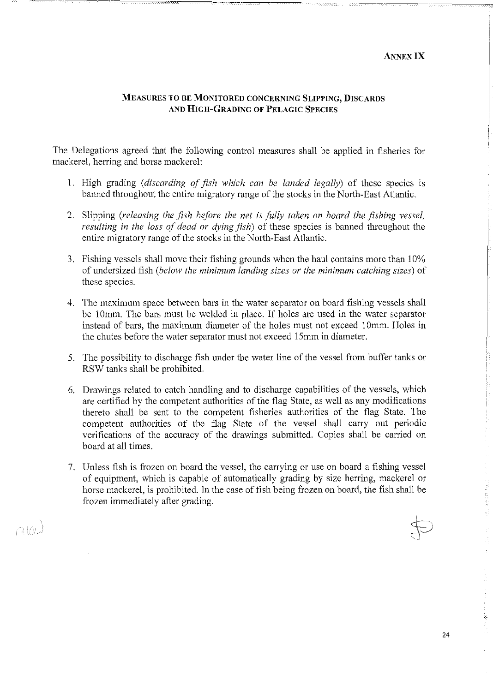#### **MEASURES TO BE MONITORED CONCERNING SLIPPING, DISCARDS AND HIGH-GRADING OF PELAGIC SPECIES**

The Delegations agreed that the following control measures shall be applied in fisheries for mackerel, herring and horse mackerel:

- 1. High grading *(discarding of jish which can be landed legally)* of these species is banned throughout the entire migratory range of the stocks in the North-East Atlantic.
- 2. Slipping (releasing the fish before the net is fully taken on board the fishing vessel, *resulting in the loss of dead ar dying jish)* of these species is banned throughout the entire migratory range of the stocks in the North-East Atlantic.
- 3. Fishing vcssels shall move their fishing grounds when the haul contains more than 10% of undersized fish *(belo"v the minimum landing sizes ar the minimum catching sizes)* of these species.
- 4. The maximum space between bars in the water separator on board fishing vessels shall be 10mm. The bars must be welded in place. If holes are used in the water separator instead of bars, the maximum diameter of the holes must not exceed 10mm. Holes in the chutes befare the water separator must not exceed 15mm in diameter.
- 5. The possibility to discharge fish under the water line of the vessel from buffer tanks or RSW tanks shall be prohibited.
- 6. Drawings related to catch handling and to discharge capabilities of the vessels, which are certified by the competent authorities of the flag State, as well as any modifications thereto shall be sent to the competent fisheries authorities of the flag State. The competent authorities of the flag State of the vessel shall carry out periodic verifications of the accuracy of the drawings submitted. Copies shall be carried on board at all times.
- 7. Unless fish is frozen on board the vessel, the carrying or use on board a fishing vessel of equipment, which is capable of automatically grading by size herring, mackerel or horse mackerel, is prohibited. In the case of fish being frozen on board, the fish shall be frozen immediately after grading.

 $\Delta$ Ke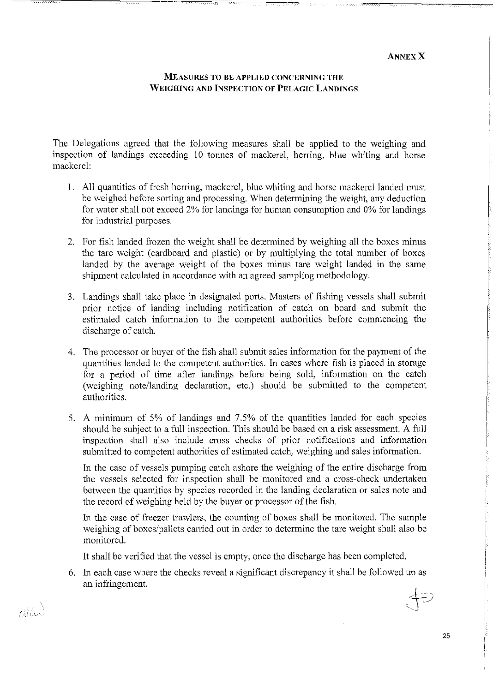#### **MEASURES TO BE APPLIED CONCERNING THE WEIGHING AND lNSPECTJON OF PELAGIC LANDINGS**

The Delegations agreed that the following measures shall be applied to the weighing and inspeetion of landings exceeding 10 tonnes of mackerel, herring, blue whiting and horse mackerel:

- 1. All quantities of fresh herring, mackerel, blue whiting and horse mackerel landed must be weighed before sorting and processing. When deterrnining the weight, any deduction for water shall not exceed 2% for landings for human consumption and 0% for landings for industrial purposes.
- 2. For fish landed frozen the weight shall be determined by weighing all the boxes minus the tare weight (cardboard and plastic) or by multiplying the total number of boxes landed by the average weight of the boxes minus tare weight landed in the same shipment calculated in accordance with an agreed sampling methodology.
- 3. Landings shall take place in designated ports. Masters of fishing vessels shall submil prior notice of landing including notification of catch on board and submit the estimated catch information to the competent authorities before commencing the discharge of catch.
- 4. The processor or buyer of the fish shall submit sales information for the payment of the quantities landed to the competent authorities. In cases where fish is placed in storage for a period of time after landings before being sold, information on the catch (weighing note/landing declaration, etc.) should be submitted to the competent authorities.
- 5. A minimum of 5% of landings and 7.5% of the quantities landed for each species should be subject to a full inspection. This should be based on a risk assessment. A full inspeetion shall also include cross checks of prior notifications and information submitted to competent authorities of estimated catch, weighing and sales information.

In the case of vessels pumping catch ashore the weighing of the entire discharge from the vessels selected for inspeetion shall be monitorcd and a cross-check undertaken between the quantities by species recorded in the landing declaration or sales note and the record of weighing held by the buyer or processor of the fish.

In the case of freezer trawlers, the counting of boxes shall be monitored. The sample weighing of boxes/pallets carried out in order to determine the tare weight shall also be monitored.

It shall be verified that the vessel is empty, once the discharge has been completed.

6. In each case where the checks reveal a significant discrepancy it shall be foliowed up as an infringement.  $\overline{L}$ 

alá.

25

 $\bigcup$   $\subset$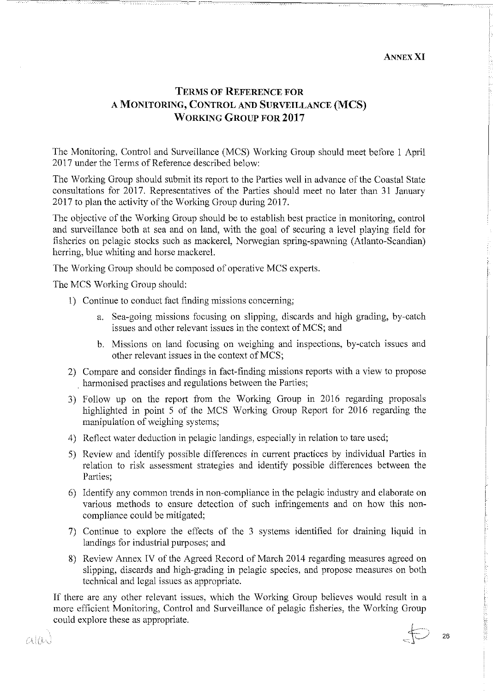#### **ANNEX XI**

26

 $\bigoplus$ 

# **TERMS OF REFERENCE FOR A MONITORING, CONTROL AND SURVEILLANCE (MCS) WORKING GROUP FOR 2017**

The Monitoring, Control and Surveillance (MCS) Working Group should meet before 1 April 2017 under the Terms of Reference described below:

The Working Group should submit its report to the Parties well in advance of the Coastal State consultations for 2017. Representatives of the Parties should meet no later than 31 January 2017 to plan the activity of the Working Group during 2017.

The objective of the Working Group should be to establish best practice in monitoring, control and surveillance both at sea and on land, with the goal of securing a level playing field for fisheries on pelagic stocks such as mackerel, Norwegian spring-spawning (Atlanto-Scandian) herring, blue whiting and horse mackerel.

The Working Group should be composed of operative MCS experts.

The MCS Working Group should:

- 1) Continue to conduct fact finding missions concerning;
	- a. Sea-going missions focusing on slipping, discards and high grading, by-catch issues and other relevant issues in the context of MCS; and
	- b. Missions on land focusing on weighing and inspections, by-catch issues and other relevant issues in the context of MCS;
- 2) Compare and consider findings in fact-finding missions reports with a view to propose . harmonised practises and regulations between the Parties;
- 3) Follow up on the report from the Working Group in 2016 regarding proposals highlighted in point 5 of the MCS Working Group Report for 2016 regarding the manipulation of weighing systems;
- 4) Reflect water deduction in pelagic landings, especially in relation totare used;
- 5) Review and identify possible differences in current practices by individual Parties in relation to risk assessmcnt strategies and identify possible differences between the Parties;
- 6) Identify any common trends in non-compliance in the pelagic industry and elaborate on various methods to ensure detection of such infringements and on how this noncompliance could be mitigated;
- 7) Continue to explore the effects of the 3 systems identified for draining liquid in landings for industrial purposes; and
- 8) Review Annex IV of the Agreed Record of March 2014 regarding measures agreed on slipping, discards and high-grading in pelagic species, and propose measures on both technical and legal issues as appropriate.

If there are any other relevant issues, which the Working Group believes would result in a more efficient Monitoring, Control and Surveillance of pelagic fisheries, the Working Group could explore these as appropriate.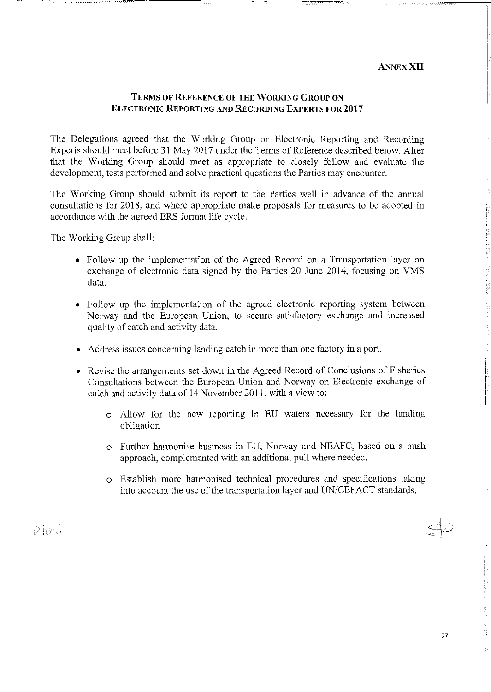#### **ANNEXXII**

#### **TERMSOF REFERENCE OF THE WORKING GROUP ON ELECTRONIC REPORTING AND RECORDING EXPERTS FOR 2017**

The Delegations agreed that the Working Group on Electronic Reporting and Recording Experts should meet before 31 May 2017 under the Terms of Reference described below. After that the Working Group should meet as appropriate to closely follow and evaluate the development, tests performed and solve practical questions the Parties may encounter.

The Working Group should submit its report to the Parties well in advance of the annual consultations for 2018, and where appropriate make proposals for measures to be adopted in accordance with the agreed ERS format life cycle.

The Working Group shall:

- Follow up the implementation of the Agreed Record on a Transportation layer on exchange of electronic data signed by the Parties 20 June 2014, focusing on VMS data.
- Follow up the implementation of the agreed electronic reporting system between Norway and the European Union, to secure satisfactory exchange and increased quality of catch and activity data.
- Address issues concerning landing catch in more than one factory in a port.
- Revise the arrangements set down in the Agreed Record of Conclusions of Fisheries Consultations between the European Union and Norway on Electronic exchange of catch and activity data of 14 November 2011, with a view to:
	- o Allow for the new reporting in EU waters necessary for the landing obligation
	- o Further harmonise business in EU, Norway and NEAFC, based on a push approach, complemented with an additional pull where needed.
	- o Establish more harmonised technica! procedures and specifications taking into account the use of the transportation layer and UN/CEFACT standards.

 $\alpha \alpha$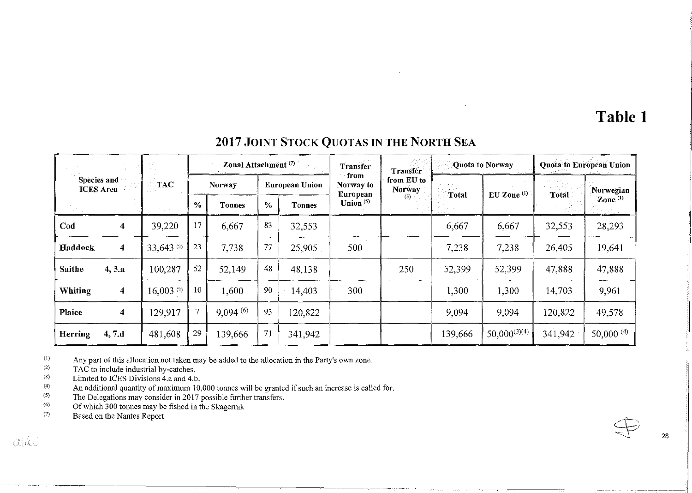# **Table 1**

# **2017 JOINT** STOCK QUOTAS IN **THE NORTH** SEA

|                |                                 |              |                | Zonal Attachment <sup>(7)</sup> |               |                       | <b>Transfer</b>                | <b>Transfer</b>      |         | Quota to Norway   |                       | <b>Quota to European Union</b> |  |
|----------------|---------------------------------|--------------|----------------|---------------------------------|---------------|-----------------------|--------------------------------|----------------------|---------|-------------------|-----------------------|--------------------------------|--|
|                | Species and<br><b>ICES</b> Area | <b>TAC</b>   |                | <b>Norway</b>                   |               | <b>European Union</b> | from<br>Norway to              | from EU to<br>Norway | Total   | $EU$ Zone $(1)$   | <b>Total</b>          | Norwegian                      |  |
|                |                                 |              | $\frac{0}{0}$  | <b>Tonnes</b>                   | $\frac{6}{6}$ | <b>Tonnes</b>         | <b>European</b><br>Union $(5)$ | (5)                  |         |                   | $\mathbf{Zone}^{(1)}$ |                                |  |
| Cod            | 4                               | 39,220       | 17             | 6,667                           | 83            | 32,553                |                                |                      | 6,667   | 6,667             | 32,553                | 28,293                         |  |
| Haddock        | 4                               | 33,643 (2)   | 23             | 7,738                           | 77            | 25,905                | 500                            |                      | 7,238   | 7,238             | 26,405                | 19,641                         |  |
| <b>Saithe</b>  | 4, 3.a                          | 100,287      | 52             | 52,149                          | 48            | 48,138                |                                | 250                  | 52,399  | 52,399            | 47,888                | 47,888                         |  |
| Whiting        | 4                               | 16,003 $(2)$ | 10             | 1,600                           | 90            | 14,403                | 300                            |                      | 1,300   | 1,300             | 14,703                | 9,961                          |  |
| Plaice         | 4                               | 129,917      | $\overline{7}$ | 9,094(6)                        | 93            | 120,822               |                                |                      | 9,094   | 9,094             | 120,822               | 49,578                         |  |
| <b>Herring</b> | 4, 7d                           | 481,608      | 29             | 139,666                         | 71            | 341,942               |                                |                      | 139,666 | $50,000^{(3)(4)}$ | 341,942               | $50,000^{(4)}$                 |  |
|                |                                 |              |                |                                 |               |                       |                                |                      |         |                   |                       |                                |  |

(I) Any part of this allocation not taken may be added to the allocation in the Party's own zone.

(2) TAC to include industrial by-catches.

(3) Limited to ICES Divisions 4.a and 4.b.

(4) An additional quantity of maximum 10,000 tonnes will be granted if such an increase is called for.

(5) The Delegations may consider in 2017 possible further transfers.

(6) Of which 300 tonnes may be fished in the Skagerrak

(7) Based on the Nantes Report

 $\alpha$ ldw

.I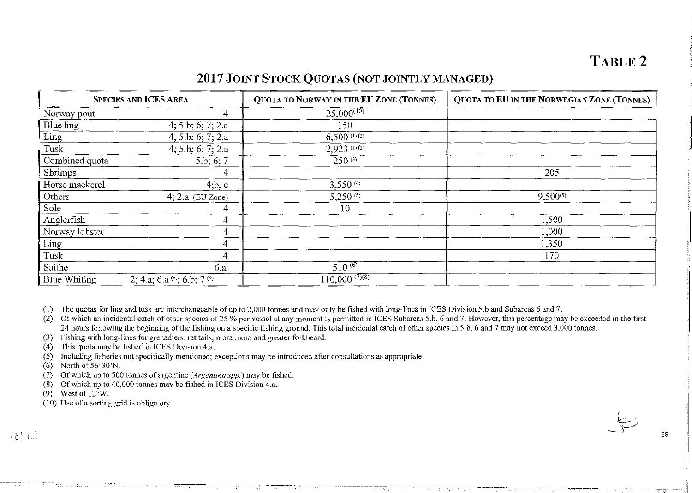# **2017 JOINT STOCK QUOTAS (NOT JOINTLY MANAGED)**

|                | <b>SPECIES AND ICES AREA</b>           | <b>QUOTA TO NORWAY IN THE EU ZONE (TONNES)</b> | QUOTA TO EU IN THE NORWEGIAN ZONE (TONNES) |  |  |
|----------------|----------------------------------------|------------------------------------------------|--------------------------------------------|--|--|
| Norway pout    | 4                                      | $25,000^{(10)}$                                |                                            |  |  |
| Blue ling      | 4; 5.b; 6; 7; 2.a                      | 150                                            |                                            |  |  |
| Ling           | 4; 5.b; 6; 7; 2.a                      | 6.500(0.02)                                    |                                            |  |  |
| Tusk           | 4; 5.b; 6; 7; 2.a                      | $2,923$ (1)(2)                                 |                                            |  |  |
| Combined quota | 5.b; 6; 7                              | $250^{(3)}$                                    |                                            |  |  |
| Shrimps        | 4                                      |                                                | 205                                        |  |  |
| Horse mackerel | 4; b, c                                | $3,550^{(4)}$                                  |                                            |  |  |
| Others         | $4; 2.a$ (EU Zone)                     | $5,250^{(5)}$                                  | $9,500^{(5)}$                              |  |  |
| Sole           | 4                                      | 10                                             |                                            |  |  |
| Anglerfish     | 4                                      |                                                | 1,500                                      |  |  |
| Norway lobster | 4                                      |                                                | 1,000                                      |  |  |
| Ling           | 4                                      |                                                | 1,350                                      |  |  |
| Tusk           | 4                                      |                                                | 170                                        |  |  |
| Saithe         | 6.a                                    | $510^{(6)}$                                    |                                            |  |  |
| Blue Whiting   | 2; 4.a; 6.a $^{(6)}$ ; 6.b; 7 $^{(9)}$ | $110,000^{(7)(8)}$                             |                                            |  |  |

(I) The quotas for ling and tusk are interchangeable of up to 2,000 tonnes and may only be fisbed with long-lines in !CES Division 5.b and Subareas 6 and 7.

(2) Of which an incidental catch of other species of 25 % per vessel at any moment is permitted in ICES Subareas 5.b, 6 and 7. However, this percentage may be exceeded in the first 24 hours following the beginning of the fishing on a specific fishing ground. This total incidental catch of other species in 5.b, 6 and 7 may not exceed 3,000 tonnes.

(3) Fishing with long-lines for grenadiers, rat tails, mora mora and greater forkbeard.

(4) This quota may be fisbed in !CES Division 4.a.

(5) Including fisheries nat specifically mentioned; exceptions may be introduced after consultations as appropriate

(6) North of 56"30'N.

(7) Of whicb up to 500 tonnes of argentine *(Argentina spp.)* may be fished.

(8) Of which up to 40,000 tonnes may be fisbed in !CES Division 4.a.

(9) West of 12"W.

Provincia e

 $(10)$  Use of a sorting grid is obligatory

 $\alpha$  (a)

l, i

 $\bigoplus$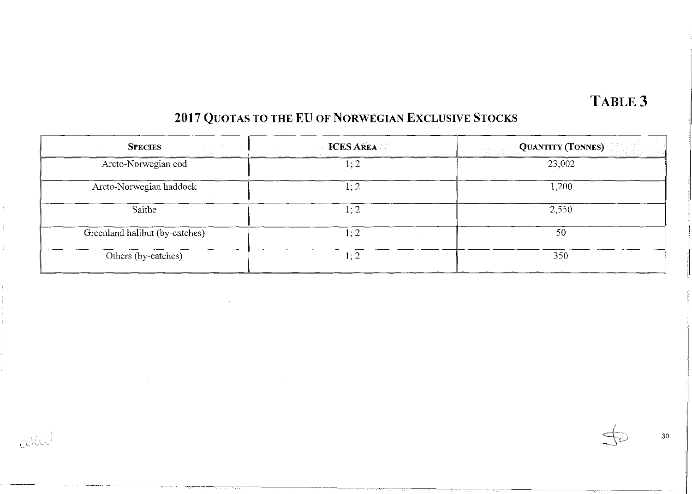# TABLE 3

# 2017 QUOTAS TO THE EU OF NORWEGIAN EXCLUSIVE STOCKS

| <b>SPECIES</b>                 | <b>ICES AREA</b> | QUANTITY (TONNES) |
|--------------------------------|------------------|-------------------|
| Arcto-Norwegian cod            | 1; 2             | 23,002            |
| Arcto-Norwegian haddock        | 1; 2             | 1,200             |
| Saithe                         | 1; 2             | 2,550             |
| Greenland halibut (by-catches) | 1; 2             | 50                |
| Others (by-catches)            | 1:2              | 350               |

 $\mathbb{R}^{\mathbb{Z}}$  and  $\mathbb{R}^{\mathbb{Z}}$  and  $\mathbb{R}^{\mathbb{Z}}$  and  $\mathbb{R}^{\mathbb{Z}}$  and  $\mathbb{R}^{\mathbb{Z}}$  and  $\mathbb{R}^{\mathbb{Z}}$  and  $\mathbb{R}^{\mathbb{Z}}$  and  $\mathbb{R}^{\mathbb{Z}}$  and  $\mathbb{R}^{\mathbb{Z}}$  and  $\mathbb{R}^{\mathbb{Z}}$  and  $\mathbb{R}^{\mathbb{Z}}$  and